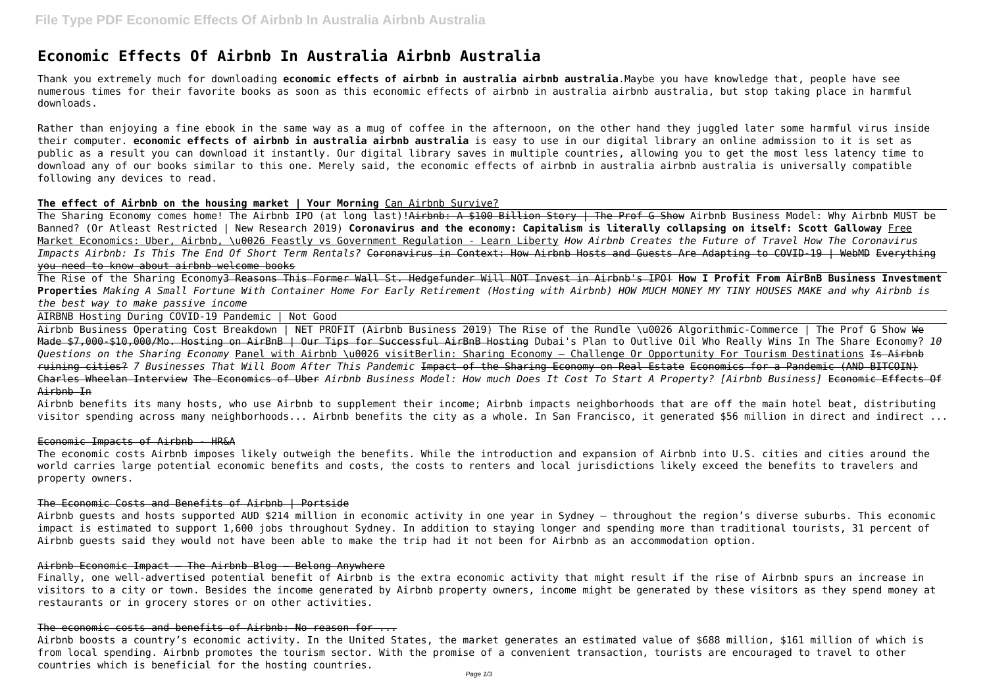# **Economic Effects Of Airbnb In Australia Airbnb Australia**

Thank you extremely much for downloading **economic effects of airbnb in australia airbnb australia**.Maybe you have knowledge that, people have see numerous times for their favorite books as soon as this economic effects of airbnb in australia airbnb australia, but stop taking place in harmful downloads.

Rather than enjoying a fine ebook in the same way as a mug of coffee in the afternoon, on the other hand they juggled later some harmful virus inside their computer. **economic effects of airbnb in australia airbnb australia** is easy to use in our digital library an online admission to it is set as public as a result you can download it instantly. Our digital library saves in multiple countries, allowing you to get the most less latency time to download any of our books similar to this one. Merely said, the economic effects of airbnb in australia airbnb australia is universally compatible following any devices to read.

The Sharing Economy comes home! The Airbnb IPO (at long last)!<del>Airbnb: A \$100 Billion Story | The Prof G Show</del> Airbnb Business Model: Why Airbnb MUST be Banned? (Or Atleast Restricted | New Research 2019) **Coronavirus and the economy: Capitalism is literally collapsing on itself: Scott Galloway** Free Market Economics: Uber, Airbnb, \u0026 Feastly vs Government Regulation - Learn Liberty *How Airbnb Creates the Future of Travel How The Coronavirus Impacts Airbnb: Is This The End Of Short Term Rentals?* Coronavirus in Context: How Airbnb Hosts and Guests Are Adapting to COVID-19 | WebMD Everything you need to know about airbnb welcome books

## **The effect of Airbnb on the housing market | Your Morning** Can Airbnb Survive?

Airbnb Business Operating Cost Breakdown | NET PROFIT (Airbnb Business 2019) The Rise of the Rundle \u0026 Algorithmic-Commerce | The Prof G Show We Made \$7,000-\$10,000/Mo. Hosting on AirBnB | Our Tips for Successful AirBnB Hosting Dubai's Plan to Outlive Oil Who Really Wins In The Share Economy? *10 Questions on the Sharing Economy* Panel with Airbnb \u0026 visitBerlin: Sharing Economy – Challenge Or Opportunity For Tourism Destinations Is Airbnb ruining cities? *7 Businesses That Will Boom After This Pandemic* Impact of the Sharing Economy on Real Estate Economics for a Pandemic (AND BITCOIN) Charles Wheelan Interview The Economics of Uber *Airbnb Business Model: How much Does It Cost To Start A Property? [Airbnb Business]* Economic Effects Of Airbnb In

The Rise of the Sharing Economy3 Reasons This Former Wall St. Hedgefunder Will NOT Invest in Airbnb's IPO! **How I Profit From AirBnB Business Investment Properties** *Making A Small Fortune With Container Home For Early Retirement (Hosting with Airbnb) HOW MUCH MONEY MY TINY HOUSES MAKE and why Airbnb is the best way to make passive income*

AIRBNB Hosting During COVID-19 Pandemic | Not Good

Airbnb benefits its many hosts, who use Airbnb to supplement their income; Airbnb impacts neighborhoods that are off the main hotel beat, distributing visitor spending across many neighborhoods... Airbnb benefits the city as a whole. In San Francisco, it generated \$56 million in direct and indirect ...

## Economic Impacts of Airbnb - HR&A

The economic costs Airbnb imposes likely outweigh the benefits. While the introduction and expansion of Airbnb into U.S. cities and cities around the world carries large potential economic benefits and costs, the costs to renters and local jurisdictions likely exceed the benefits to travelers and property owners.

# The Economic Costs and Benefits of Airbnb | Portside

Airbnb guests and hosts supported AUD \$214 million in economic activity in one year in Sydney – throughout the region's diverse suburbs. This economic impact is estimated to support 1,600 jobs throughout Sydney. In addition to staying longer and spending more than traditional tourists, 31 percent of Airbnb guests said they would not have been able to make the trip had it not been for Airbnb as an accommodation option.

## Airbnb Economic Impact – The Airbnb Blog – Belong Anywhere

Finally, one well-advertised potential benefit of Airbnb is the extra economic activity that might result if the rise of Airbnb spurs an increase in visitors to a city or town. Besides the income generated by Airbnb property owners, income might be generated by these visitors as they spend money at restaurants or in grocery stores or on other activities.

# The economic costs and benefits of Airbnb: No reason for ...

Airbnb boosts a country's economic activity. In the United States, the market generates an estimated value of \$688 million, \$161 million of which is from local spending. Airbnb promotes the tourism sector. With the promise of a convenient transaction, tourists are encouraged to travel to other countries which is beneficial for the hosting countries.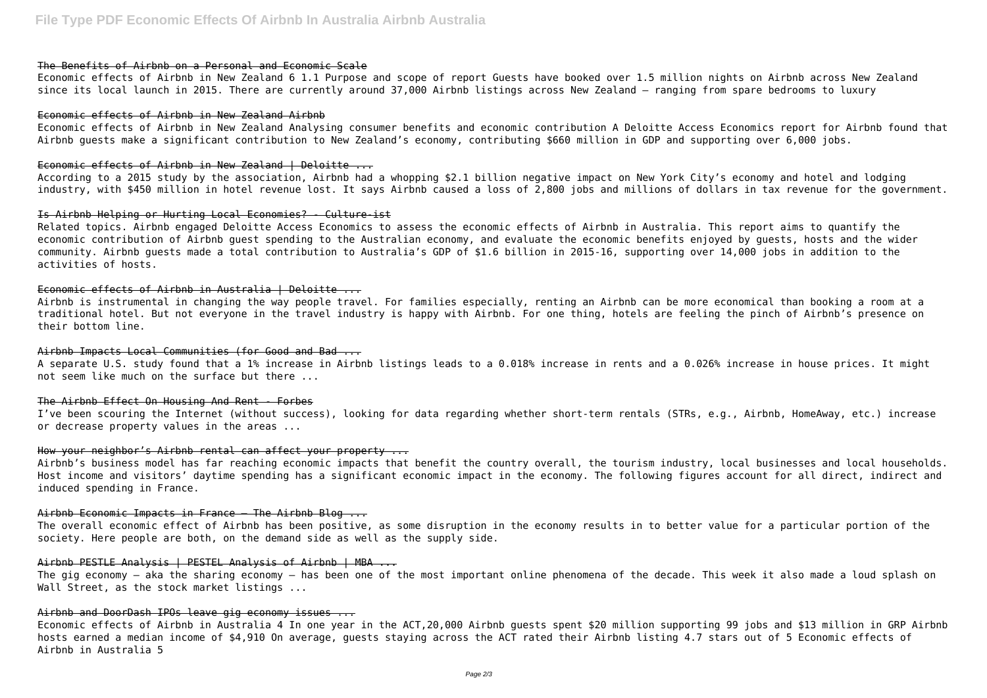# The Benefits of Airbnb on a Personal and Economic Scale

Economic effects of Airbnb in New Zealand 6 1.1 Purpose and scope of report Guests have booked over 1.5 million nights on Airbnb across New Zealand since its local launch in 2015. There are currently around 37,000 Airbnb listings across New Zealand – ranging from spare bedrooms to luxury

## Economic effects of Airbnb in New Zealand Airbnb

Economic effects of Airbnb in New Zealand Analysing consumer benefits and economic contribution A Deloitte Access Economics report for Airbnb found that Airbnb guests make a significant contribution to New Zealand's economy, contributing \$660 million in GDP and supporting over 6,000 jobs.

### Economic effects of Airbnb in New Zealand | Deloitte ...

According to a 2015 study by the association, Airbnb had a whopping \$2.1 billion negative impact on New York City's economy and hotel and lodging industry, with \$450 million in hotel revenue lost. It says Airbnb caused a loss of 2,800 jobs and millions of dollars in tax revenue for the government.

A separate U.S. study found that a 1% increase in Airbnb listings leads to a 0.018% increase in rents and a 0.026% increase in house prices. It might not seem like much on the surface but there ...

## Is Airbnb Helping or Hurting Local Economies? - Culture-ist

Related topics. Airbnb engaged Deloitte Access Economics to assess the economic effects of Airbnb in Australia. This report aims to quantify the economic contribution of Airbnb guest spending to the Australian economy, and evaluate the economic benefits enjoyed by guests, hosts and the wider community. Airbnb guests made a total contribution to Australia's GDP of \$1.6 billion in 2015-16, supporting over 14,000 jobs in addition to the activities of hosts.

## Economic effects of Airbnb in Australia | Deloitte ...

The gig economy — aka the sharing economy — has been one of the most important online phenomena of the decade. This week it also made a loud splash on Wall Street, as the stock market listings ...

# Airbnb and DoorDash IPOs leave gig economy issues ...

Airbnb is instrumental in changing the way people travel. For families especially, renting an Airbnb can be more economical than booking a room at a traditional hotel. But not everyone in the travel industry is happy with Airbnb. For one thing, hotels are feeling the pinch of Airbnb's presence on their bottom line.

## Airbnb Impacts Local Communities (for Good and Bad ...

#### The Airbnb Effect On Housing And Rent - Forbes

I've been scouring the Internet (without success), looking for data regarding whether short-term rentals (STRs, e.g., Airbnb, HomeAway, etc.) increase or decrease property values in the areas ...

# How your neighbor's Airbnb rental can affect your property ...

Airbnb's business model has far reaching economic impacts that benefit the country overall, the tourism industry, local businesses and local households. Host income and visitors' daytime spending has a significant economic impact in the economy. The following figures account for all direct, indirect and induced spending in France.

## Airbnb Economic Impacts in France – The Airbnb Blog ...

The overall economic effect of Airbnb has been positive, as some disruption in the economy results in to better value for a particular portion of the society. Here people are both, on the demand side as well as the supply side.

#### Airbnb PESTLE Analysis | PESTEL Analysis of Airbnb | MBA ...

Economic effects of Airbnb in Australia 4 In one year in the ACT,20,000 Airbnb guests spent \$20 million supporting 99 jobs and \$13 million in GRP Airbnb hosts earned a median income of \$4,910 On average, guests staying across the ACT rated their Airbnb listing 4.7 stars out of 5 Economic effects of Airbnb in Australia 5